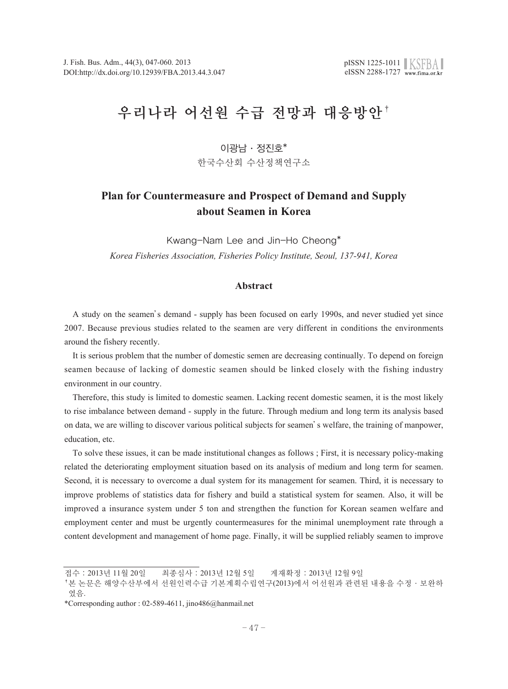# 우리나라 어선원 수급 전망과 대응방안†

# $0$  광남 · 정진호 $*$

한국수산회 수산정책연구소

# **Plan for Countermeasure and Prospect of Demand and Supply about Seamen in Korea**

Kwang-Nam Lee and Jin-Ho Cheong\* *Korea Fisheries Association, Fisheries Policy Institute, Seoul, 137-941, Korea*

# **Abstract**

A study on the seamen's demand - supply has been focused on early 1990s, and never studied yet since 2007. Because previous studies related to the seamen are very different in conditions the environments around the fishery recently.

It is serious problem that the number of domestic semen are decreasing continually. To depend on foreign seamen because of lacking of domestic seamen should be linked closely with the fishing industry environment in our country.

Therefore, this study is limited to domestic seamen. Lacking recent domestic seamen, it is the most likely to rise imbalance between demand - supply in the future. Through medium and long term its analysis based on data, we are willing to discover various political subjects for seamen's welfare, the training of manpower, education, etc.

To solve these issues, it can be made institutional changes as follows ; First, it is necessary policy-making related the deteriorating employment situation based on its analysis of medium and long term for seamen. Second, it is necessary to overcome a dual system for its management for seamen. Third, it is necessary to improve problems of statistics data for fishery and build a statistical system for seamen. Also, it will be improved a insurance system under 5 ton and strengthen the function for Korean seamen welfare and employment center and must be urgently countermeasures for the minimal unemployment rate through a content development and management of home page. Finally, it will be supplied reliably seamen to improve

접수:2013년 11월 20일 최종심사:2013년 12월 5일 게재확정:2013년 12월 9일

<sup>†</sup>본 논문은 해양수산부에서 선원인력수급 기본계획수립연구(2013)에서 어선원과 관련된 내용을 수정·보완하 였음.

<sup>\*</sup>Corresponding author : 02-589-4611, jino486@hanmail.net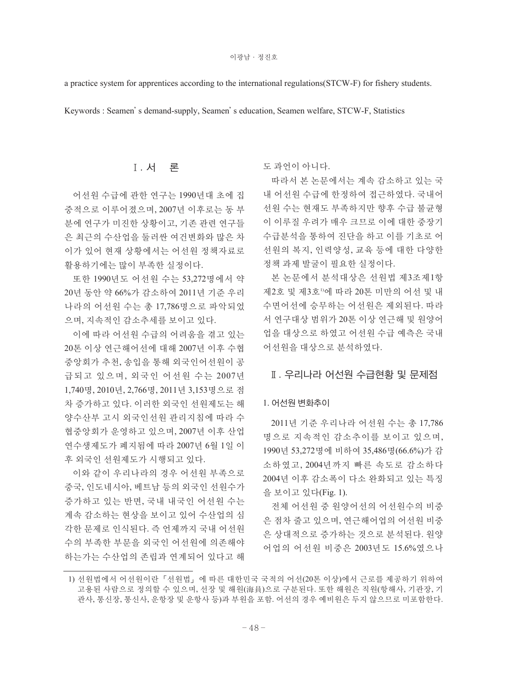a practice system for apprentices according to the international regulations(STCW-F) for fishery students.

Keywords : Seamen's demand-supply, Seamen's education, Seamen welfare, STCW-F, Statistics

# Ⅰ. 서 론

어선원 수급에 관한 연구는 1990년대 초에 집 중적으로 이루어졌으며, 2007년 이후로는 동 부 분에 연구가 미진한 상황이고, 기존 관련 연구들 은 최근의 수산업을 둘러싼 여건변화와 많은 차 이가 있어 현재 상황에서는 어선원 정책자료로 활용하기에는 많이 부족한 실정이다.

또한 1990년도 어선원 수는 53,272명에서 약 20년 동안 약 66%가 감소하여 2011년 기준 우리 나라의 어선원 수는 총 17,786명으로 파악되었 으며, 지속적인 감소추세를 보이고 있다.

이에 따라 어선원 수급의 어려움을 겪고 있는 20톤 이상 연근해어선에 대해 2007년 이후 수협 중앙회가 추천, 송입을 통해 외국인어선원이 공 급되고 있으며, 외국인 어선원 수는 2007년 1,740명, 2010년, 2,766명, 2011년 3,153명으로 점 차 증가하고 있다. 이러한 외국인 선원제도는 해 양수산부 고시 외국인선원 관리지침에 따라 수 협중앙회가 운영하고 있으며, 2007년 이후 산업 연수생제도가 폐지됨에 따라 2007년 6월 1일 이 후 외국인 선원제도가 시행되고 있다.

이와 같이 우리나라의 경우 어선원 부족으로 중국, 인도네시아, 베트남 등의 외국인 선원수가 증가하고 있는 반면, 국내 내국인 어선원 수는 계속 감소하는 현상을 보이고 있어 수산업의 심 각한 문제로 인식된다. 즉 언제까지 국내 어선원 수의 부족한 부문을 외국인 어선원에 의존해야 하는가는 수산업의 존립과 연계되어 있다고 해

도 과언이 아니다.

따라서 본 논문에서는 계속 감소하고 있는 국 내 어선원 수급에 한정하여 접근하였다. 국내어 선원 수는 현재도 부족하지만 향후 수급 불균형 이 이루질 우려가 매우 크므로 이에 대한 중장기 수급분석을 통하여 진단을 하고 이를 기초로 어 선원의 복지, 인력양성, 교육 등에 대한 다양한 정책 과제 발굴이 필요한 실정이다.

본 논문에서 분석대상은 선원법 제3조제1항 제2호 및 제3호''에 따라 20톤 미만의 어선 및 내 수면어선에 승무하는 어선원은 제외된다. 따라 서 연구대상 범위가 20톤 이상 연근해 및 원양어 업을 대상으로 하였고 어선원 수급 예측은 국내 어선원을 대상으로 분석하였다.

# Ⅱ. 우리나라 어선원 수급현황 및 문제점

#### 1. 어선원 변화추이

2011년 기준 우리나라 어선원 수는 총 17,786 명으로 지속적인 감소추이를 보이고 있으며, 1990년 53,272명에 비하여 35,486명(66.6%)가 감 소하였고, 2004년까지 빠른 속도로 감소하다 2004년 이후 감소폭이 다소 완화되고 있는 특징 을 보이고 있다(Fig. 1).

전체 어선원 중 원양어선의 어선원수의 비중 은 점차 줄고 있으며, 연근해어업의 어선원 비중 은 상대적으로 증가하는 것으로 분석된다. 원양 어업의 어선원 비중은 2003년도 15.6%였으나

<sup>1)</sup> 선원법에서 어선원이란「선원법」에 따른 대한민국 국적의 어선(20톤 이상)에서 근로를 제공하기 위하여 고용된 사람으로 정의할 수 있으며, 선장 및 해원(海員)으로 구분된다. 또한 해원은 직원(항해사, 기관장, 기 관사, 통신장, 통신사, 운항장 및 운항사 등)과 부원을 포함. 어선의 경우 예비원은 두지 않으므로 미포함한다.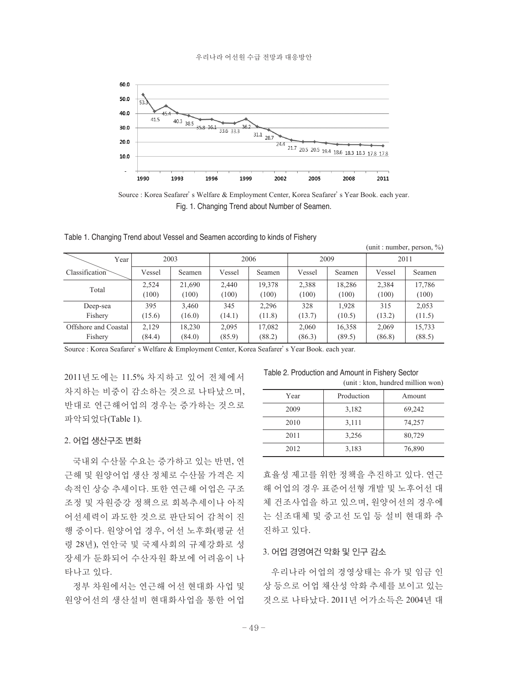

Source : Korea Seafarer's Welfare & Employment Center, Korea Seafarer's Year Book. each year. Fig. 1. Changing Trend about Number of Seamen.

Table 1. Changing Trend about Vessel and Seamen according to kinds of Fishery

| Year                 |        | 2003   |        | 2006   |        | 2009   |        | 2011   |
|----------------------|--------|--------|--------|--------|--------|--------|--------|--------|
| Classification       | Vessel | Seamen | Vessel | Seamen | Vessel | Seamen | Vessel | Seamen |
| Total                | 2,524  | 21.690 | 2.440  | 19,378 | 2,388  | 18,286 | 2,384  | 17,786 |
|                      | (100)  | (100)  | (100)  | (100)  | (100)  | (100)  | (100)  | (100)  |
| Deep-sea             | 395    | 3,460  | 345    | 2,296  | 328    | 1,928  | 315    | 2,053  |
| Fishery              | (15.6) | (16.0) | (14.1) | (11.8) | (13.7) | (10.5) | (13.2) | (11.5) |
| Offshore and Coastal | 2,129  | 18.230 | 2,095  | 17,082 | 2,060  | 16,358 | 2,069  | 15,733 |
| Fishery              | (84.4) | (84.0) | (85.9) | (88.2) | (86.3) | (89.5) | (86.8) | (88.5) |

Source : Korea Seafarer's Welfare & Employment Center, Korea Seafarer's Year Book. each year.

2011년도에는 11.5% 차지하고 있어 전체에서 차지하는 비중이 감소하는 것으로 나타났으며, 반대로 연근해어업의 경우는 증가하는 것으로 파악되었다(Table 1).

#### 2. 어업 생산구조 변화

국내외 수산물 수요는 증가하고 있는 반면, 연 근해 및 원양어업 생산 정체로 수산물 가격은 지 속적인 상승 추세이다. 또한 연근해 어업은 구조 조정 및 자원증강 정책으로 회복추세이나 아직 어선세력이 과도한 것으로 판단되어 감척이 진 행 중이다. 원양어업 경우, 어선 노후화(평균 선 령 28년), 연안국 및 국제사회의 규제강화로 성 장세가 둔화되어 수산자원 확보에 어려움이 나 타나고 있다.

정부 차원에서는 연근해 어선 현대화 사업 및 원양어선의 생산설비 현대화사업을 통한 어업

Table 2. Production and Amount in Fishery Sector (unit : kton, hundred million won)

 $(\text{unit} : \text{number} \text{ person } 0)$ 

| Year | Production | Amount |
|------|------------|--------|
| 2009 | 3,182      | 69,242 |
| 2010 | 3,111      | 74,257 |
| 2011 | 3,256      | 80,729 |
| 2012 | 3,183      | 76,890 |
|      |            |        |

효율성 제고를 위한 정책을 추진하고 있다. 연근 해 어업의 경우 표준어선형 개발 및 노후어선 대 체 건조사업을 하고 있으며, 원양어선의 경우에 는 신조대체 및 중고선 도입 등 설비 현대화 추 진하고 있다.

# 3. 어업 경영여건 악화 및 인구 감소

우리나라 어업의 경영상태는 유가 및 임금 인 상 등으로 어업 채산성 악화 추세를 보이고 있는 것으로 나타났다. 2011년 어가소득은 2004년 대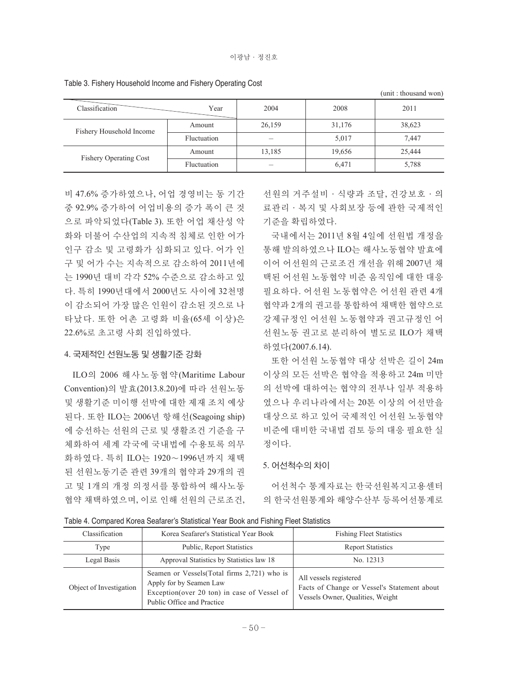|                               |             |        |        | (unit: thousand won) |
|-------------------------------|-------------|--------|--------|----------------------|
| Classification                | Year        | 2004   | 2008   | 2011                 |
| Fishery Household Income      | Amount      | 26,159 | 31,176 | 38,623               |
|                               | Fluctuation |        | 5,017  | 7,447                |
| <b>Fishery Operating Cost</b> | Amount      | 13,185 | 19,656 | 25,444               |
|                               | Fluctuation |        | 6,471  | 5,788                |

Table 3. Fishery Household Income and Fishery Operating Cost

비 47.6% 증가하였으나, 어업 경영비는 동 기간 중 92.9% 증가하여 어업비용의 증가 폭이 큰 것 으로 파악되었다(Table 3). 또한 어업 채산성 악 화와 더불어 수산업의 지속적 침체로 인한 어가 인구 감소 및 고령화가 심화되고 있다. 어가 인 구 및 어가 수는 지속적으로 감소하여 2011년에 는 1990년 대비 각각 52% 수준으로 감소하고 있 다. 특히 1990년대에서 2000년도 사이에 32천명 이 감소되어 가장 많은 인원이 감소된 것으로 나 타났다. 또한 어촌 고령화 비율(65세 이상)은 22.6%로 초고령 사회 진입하였다.

#### 4. 국제적인 선원노동 및 생활기준 강화

ILO의 2006 해사노동협약(Maritime Labour Convention)의 발효(2013.8.20)에 따라 선원노동 및 생활기준 미이행 선박에 대한 제재 조치 예상 된다. 또한 ILO는 2006년 항해선(Seagoing ship) 에 승선하는 선원의 근로 및 생활조건 기준을 구 체화하여 세계 각국에 국내법에 수용토록 의무 화하였다. 특히 ILO는 1920∼1996년까지 채택 된 선원노동기준 관련 39개의 협약과 29개의 권 고 및 1개의 개정 의정서를 통합하여 해사노동 협약 채택하였으며, 이로 인해 선원의 근로조건, 선원의 거주설비·식량과 조달, 건강보호·의 료관리·복지 및 사회보장 등에 관한 국제적인 기준을 확립하였다.

국내에서는 2011년 8월 4일에 선원법 개정을 통해 발의하였으나 ILO는 해사노동협약 발효에 이어 어선원의 근로조건 개선을 위해 2007년 채 택된 어선원 노동협약 비준 움직임에 대한 대응 필요하다. 어선원 노동협약은 어선원 관련 4개 협약과 2개의 권고를 통합하여 채택한 협약으로 강제규정인 어선원 노동협약과 권고규정인 어 선원노동 권고로 분리하여 별도로 ILO가 채택 하였다(2007.6.14).

또한 어선원 노동협약 대상 선박은 길이 24m 이상의 모든 선박은 협약을 적용하고 24m 미만 의 선박에 대하여는 협약의 전부나 일부 적용하 였으나 우리나라에서는 20톤 이상의 어선만을 대상으로 하고 있어 국제적인 어선원 노동협약 비준에 대비한 국내법 검토 등의 대응 필요한 실 정이다.

#### 5. 어선척수의 차이

어선척수 통계자료는 한국선원복지고용센터 의 한국선원통계와 해양수산부 등록어선통계로

Table 4. Compared Korea Seafarer's Statistical Year Book and Fishing Fleet Statistics

| Classification          | Korea Seafarer's Statistical Year Book                                                                                                                | <b>Fishing Fleet Statistics</b>                                                                           |
|-------------------------|-------------------------------------------------------------------------------------------------------------------------------------------------------|-----------------------------------------------------------------------------------------------------------|
| Type                    | <b>Public, Report Statistics</b>                                                                                                                      | <b>Report Statistics</b>                                                                                  |
| Legal Basis             | Approval Statistics by Statistics law 18                                                                                                              | No. 12313                                                                                                 |
| Object of Investigation | Seamen or Vessels (Total firms 2,721) who is<br>Apply for by Seamen Law<br>Exception (over 20 ton) in case of Vessel of<br>Public Office and Practice | All vessels registered<br>Facts of Change or Vessel's Statement about<br>Vessels Owner, Qualities, Weight |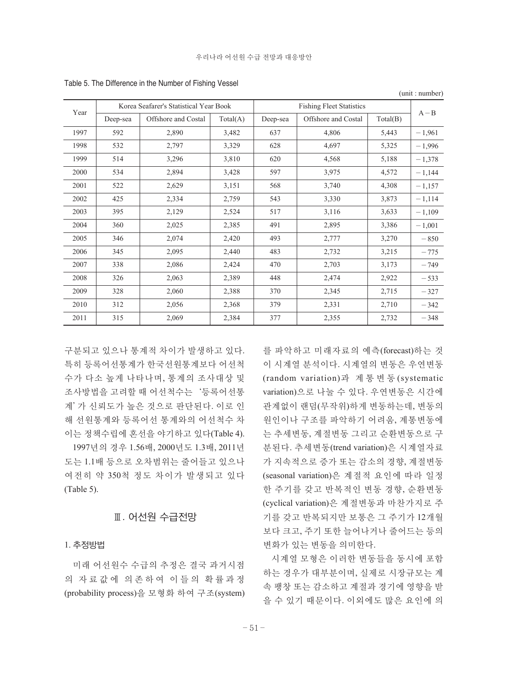| Year |          | Korea Seafarer's Statistical Year Book |          |          | <b>Fishing Fleet Statistics</b> |          | $A - B$  |
|------|----------|----------------------------------------|----------|----------|---------------------------------|----------|----------|
|      | Deep-sea | Offshore and Costal                    | Total(A) | Deep-sea | Offshore and Costal             | Total(B) |          |
| 1997 | 592      | 2,890                                  | 3,482    | 637      | 4,806                           | 5,443    | $-1,961$ |
| 1998 | 532      | 2,797                                  | 3,329    | 628      | 4,697                           | 5,325    | $-1,996$ |
| 1999 | 514      | 3,296                                  | 3,810    | 620      | 4,568                           | 5,188    | $-1,378$ |
| 2000 | 534      | 2,894                                  | 3,428    | 597      | 3,975                           | 4,572    | $-1,144$ |
| 2001 | 522      | 2,629                                  | 3,151    | 568      | 3,740                           | 4,308    | $-1,157$ |
| 2002 | 425      | 2,334                                  | 2,759    | 543      | 3,330                           | 3,873    | $-1,114$ |
| 2003 | 395      | 2,129                                  | 2,524    | 517      | 3,116                           | 3,633    | $-1,109$ |
| 2004 | 360      | 2,025                                  | 2,385    | 491      | 2,895                           | 3,386    | $-1,001$ |
| 2005 | 346      | 2,074                                  | 2,420    | 493      | 2,777                           | 3,270    | $-850$   |
| 2006 | 345      | 2,095                                  | 2,440    | 483      | 2,732                           | 3,215    | $-775$   |
| 2007 | 338      | 2,086                                  | 2,424    | 470      | 2,703                           | 3,173    | $-749$   |
| 2008 | 326      | 2,063                                  | 2,389    | 448      | 2,474                           | 2,922    | $-533$   |
| 2009 | 328      | 2,060                                  | 2,388    | 370      | 2,345                           | 2,715    | $-327$   |
| 2010 | 312      | 2,056                                  | 2,368    | 379      | 2,331                           | 2,710    | $-342$   |
| 2011 | 315      | 2,069                                  | 2,384    | 377      | 2,355                           | 2,732    | $-348$   |

Table 5. The Difference in the Number of Fishing Vessel

구분되고 있으나 통계적 차이가 발생하고 있다. 특히 등록어선통계가 한국선원통계보다 어선척 수가 다소 높게 나타나며, 통계의 조사대상 및 조사방법을 고려할 때 어선척수는'등록어선통 계'가 신뢰도가 높은 것으로 판단된다. 이로 인 해 선원통계와 등록어선 통계와의 어선척수 차 이는 정책수립에 혼선을 야기하고 있다(Table 4). 1997년의 경우 1.56배, 2000년도 1.3배, 2011년

도는 1.1배 등으로 오차범위는 줄어들고 있으나 여전히 약 350척 정도 차이가 발생되고 있다 (Table 5).

# Ⅲ. 어선원 수급전망

#### 1. 추정방법

미래 어선원수 수급의 추정은 결국 과거시점 의 자료값에 의존하여 이들의 확률과정 (probability process)을 모형화 하여 구조(system) 를 파악하고 미래자료의 예측(forecast)하는 것 이 시계열 분석이다. 시계열의 변동은 우연변동 (random variation)과 계 통 변 동 (systematic variation)으로 나눌 수 있다. 우연변동은 시간에 관계없이 랜덤(무작위)하게 변동하는데, 변동의 원인이나 구조를 파악하기 어려움, 계통변동에 는 추세변동, 계절변동 그리고 순환변동으로 구 분된다. 추세변동(trend variation)은 시계열자료 가 지속적으로 증가 또는 감소의 경향, 계절변동 (seasonal variation)은 계절적 요인에 따라 일정 한 주기를 갖고 반복적인 변동 경향, 순환변동 (cyclical variation)은 계절변동과 마찬가지로 주 기를 갖고 반복되지만 보통은 그 주기가 12개월 보다 크고, 주기 또한 늘어나거나 줄어드는 등의 변화가 있는 변동을 의미한다.

(unit : number)

시계열 모형은 이러한 변동들을 동시에 포함 하는 경우가 대부분이며, 실제로 시장규모는 계 속 팽창 또는 감소하고 계절과 경기에 영향을 받 을 수 있기 때문이다. 이외에도 많은 요인에 의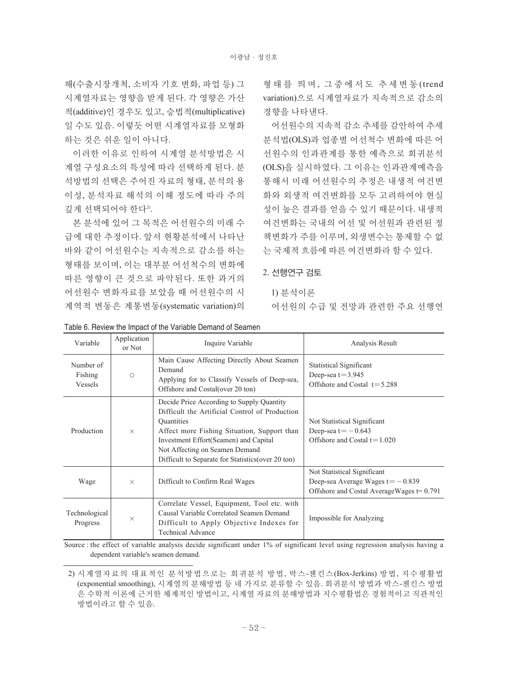해(수출시장개척, 소비자 기호 변화, 파업 등) 그 시계열자료는 영향을 받게 된다. 각 영향은 가산 적(additive)인 경우도 있고, 승법적(multiplicative) 일 수도 있음. 이렇듯 어떤 시계열자료를 모형화 하는 것은 쉬운 일이 아니다.

이러한 이유로 인하여 시계열 분석방법은 시 계열 구성요소의 특성에 따라 선택하게 된다. 분 석방법의 선택은 주어진 자료의 형태, 분석의 용 이성, 분석자료 해석의 이해 정도에 따라 주의 깊게 선택되어야 한다".

본 분석에 있어 그 목적은 어선원수의 미래 수 급에 대한 추정이다. 앞서 현황분석에서 나타난 바와 같이 어선원수는 지속적으로 감소를 하는 형태를 보이며, 이는 대부분 어선척수의 변화에 따른 영향이 큰 것으로 파악된다. 또한 과거의 어선원수 변화자료를 보았을 때 어선원수의 시 계역적 변동은 계통변동(systematic variation)의

형 태 를 띄 며, 그 중 에 서 도 추 세 변 동 (trend variation)으로 시계열자료가 지속적으로 감소의 경향을 나타낸다.

어선원수의 지속적 감소 추세를 감안하여 추세 분석법(OLS)과 업종별 어선척수 변화에 따른 어 선원수의 인과관계를 통한 예측으로 회귀분석 (OLS)을 실시하였다. 그 이유는 인과관계예측을 통해서 미래 어선원수의 추정은 내생적 여건변 화와 외생적 여건변화를 모두 고려하여야 현실 성이 높은 결과를 얻을 수 있기 때문이다. 내생적 여건변화는 국내의 어선 및 어선원과 관련된 정 책변화가 주를 이루며, 외생변수는 통제할 수 없 는 국제적 흐름에 따른 여건변화라 할 수 있다.

# 2. 선행연구 검토

#### 1) 분석이론

어선원의 수급 및 전망과 관련한 주요 선행연

| Variable                               | Application<br>or Not | Inquire Variable                                                                                                                                                                                                                                                                                                | Analysis Result                                                                                                     |
|----------------------------------------|-----------------------|-----------------------------------------------------------------------------------------------------------------------------------------------------------------------------------------------------------------------------------------------------------------------------------------------------------------|---------------------------------------------------------------------------------------------------------------------|
| Number of<br>Fishing<br><b>Vessels</b> | $\bigcirc$            | Main Cause Affecting Directly About Seamen<br>Demand<br>Applying for to Classify Vessels of Deep-sea,<br>Offshore and Costal (over 20 ton)                                                                                                                                                                      | Statistical Significant<br>Deep-sea $t = 3.945$<br>Offshore and Costal $t = 5.288$                                  |
| Production                             | $\times$              | Decide Price According to Supply Quantity<br>Difficult the Artificial Control of Production<br><i><u><b>Ouantities</b></u></i><br>Affect more Fishing Situation, Support than<br>Investment Effort (Seamen) and Capital<br>Not Affecting on Seamen Demand<br>Difficult to Separate for Statistics (over 20 ton) | Not Statistical Significant<br>Deep-sea t $=$ -0.643<br>Offshore and Costal $t = 1.020$                             |
| Wage                                   | $\times$              | Difficult to Confirm Real Wages                                                                                                                                                                                                                                                                                 | Not Statistical Significant<br>Deep-sea Average Wages $t = -0.839$<br>Offshore and Costal Average Wages $t = 0.791$ |
| Technological<br>Progress              | $\times$              | Correlate Vessel, Equipment, Tool etc. with<br>Causal Variable Correlated Seamen Demand<br>Difficult to Apply Objective Indexes for<br><b>Technical Advance</b>                                                                                                                                                 | Impossible for Analyzing                                                                                            |

Table 6. Review the Impact of the Variable Demand of Seamen

Source : the effect of variable analysis decide significant under 1% of significant level using regression analysis having a dependent variable's seamen demand.

<sup>2)</sup> 시계열자료의 대표적인 분석방법으로는 회귀분석 방법, 박스-젠킨스(Box-Jerkins) 방법, 지수평활법 (exponential smoothing), 시계열의 분해방법 등 네 가지로 분류할 수 있음. 회귀분석 방법과 박스-젠킨스 방법 은 수학적 이론에 근거한 체계적인 방법이고, 시계열 자료의 분해방법과 지수평활법은 경험적이고 직관적인 방법이라고 할 수 있음.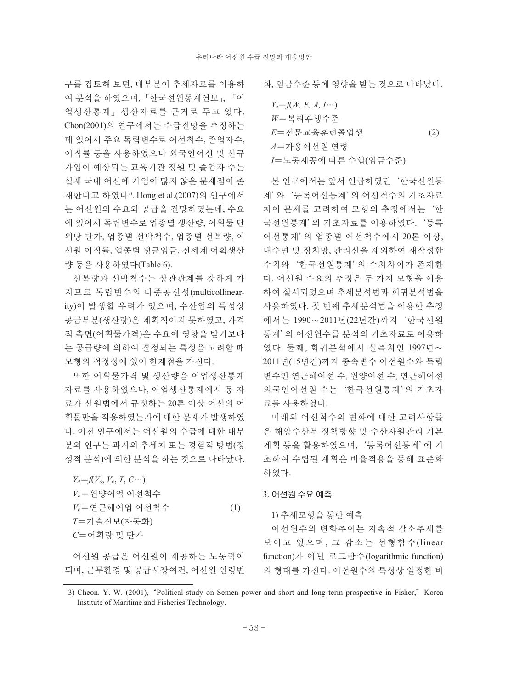구를 검토해 보면, 대부분이 추세자료를 이용하 여 분석을 하였으며,「한국선원통계연보」, 「어 업생산통계」생산자료를 근거로 두고 있다. Chon(2001)의 연구에서는 수급전망을 추정하는 데 있어서 주요 독립변수로 어선척수, 졸업자수, 이직률 등을 사용하였으나 외국인어선 및 신규 가입이 예상되는 교육기관 정원 및 졸업자 수는 실제 국내 어선에 가입이 많지 않은 문제점이 존 재한다고 하였다<sup>3)</sup>. Hong et al.(2007)의 연구에서 는 어선원의 수요와 공급을 전망하였는데, 수요 에 있어서 독립변수로 업종별 생산량, 어획물 단 위당 단가, 업종별 선박척수, 업종별 선복량, 어 선원 이직률, 업종별 평균임금, 전세계 어획생산 량 등을 사용하였다(Table 6).

선복량과 선박척수는 상관관계를 강하게 가 지므로 독립변수의 다중공선성(multicollinearity)이 발생할 우려가 있으며, 수산업의 특성상 공급부분(생산량)은 계획적이지 못하였고, 가격 적 측면(어획물가격)은 수요에 영향을 받기보다 는 공급량에 의하여 결정되는 특성을 고려할 때 모형의 적정성에 있어 한계점을 가진다.

또한 어획물가격 및 생산량을 어업생산통계 자료를 사용하였으나, 어업생산통계에서 동 자 료가 선원법에서 규정하는 20톤 이상 어선의 어 획물만을 적용하였는가에 대한 문제가 발생하였 다. 이전 연구에서는 어선원의 수급에 대한 대부 분의 연구는 과거의 추세치 또는 경험적 방법(정 성적 분석)에 의한 분석을 하는 것으로 나타났다.

| $Y_d = f(V_o, V_c, T, C \cdots)$  |     |
|-----------------------------------|-----|
| $V_o = \frac{\Omega}{2}$ 양어업 어선척수 |     |
| $V_c$ =연근해어업 어선척수                 | (1) |
| T=기술진보(자동화)                       |     |
| $C = \Theta$ 획량 및 단가              |     |
|                                   |     |

어선원 공급은 어선원이 제공하는 노동력이 되며, 근무환경 및 공급시장여건, 어선원 연령변 화, 임금수준 등에 영향을 받는 것으로 나타났다.

| $Y_s = f(W, E, A, I \cdots)$ |     |
|------------------------------|-----|
| W=복리후생수주                     |     |
| <i>E</i> =저무교육후련졸업생          | (2) |
| A=가용어서워 연령                   |     |
| I=노동제공에 따른 수입(임금수준)          |     |

본 연구에서는 앞서 언급하였던'한국선원통 계'와'등록어선통계'의 어선척수의 기초자료 차이 문제를 고려하여 모형의 추정에서는'한 국선원통계'의 기초자료를 이용하였다.'등록 어선통계'의 업종별 어선척수에서 20톤 이상, 내수면 및 정치망, 관리선을 제외하여 재작성한 수치와'한국선원통계'의 수치차이가 존재한 다. 어선원 수요의 추정은 두 가지 모형을 이용 하여 실시되었으며 추세분석법과 회귀분석법을 사용하였다. 첫 번째 추세분석법을 이용한 추정 에서는 1990∼2011년(22년간)까지'한국선원 통계'의 어선원수를 분석의 기초자료로 이용하 였다. 둘째, 회귀분석에서 실측치인 1997년∼ 2011년(15년간)까지 종속변수 어선원수와 독립 변수인 연근해어선 수, 원양어선 수, 연근해어선 외국인어선원 수는'한국선원통계'의 기초자 료를 사용하였다.

미래의 어선척수의 변화에 대한 고려사항들 은 해양수산부 정책방향 및 수산자원관리 기본 계획 등을 활용하였으며,'등록어선통계'에 기 초하여 수립된 계획은 비율적용을 통해 표준화 하였다.

3. 어선원 수요 예측

1) 추세모형을 통한 예측

어선원수의 변화추이는 지속적 감소추세를 보이고 있으며, 그 감소는 선형함수(linear function)가 아닌 로그함수(logarithmic function) 의 형태를 가진다. 어선원수의 특성상 일정한 비

<sup>3)</sup> Cheon. Y. W. (2001), "Political study on Semen power and short and long term prospective in Fisher," Korea Institute of Maritime and Fisheries Technology.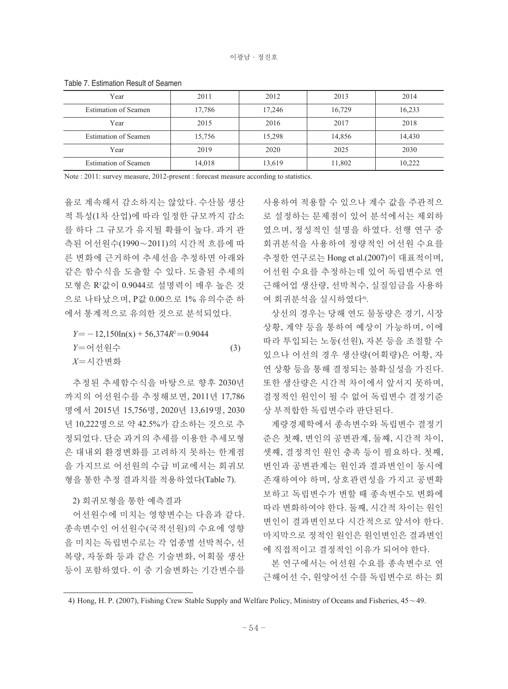| Year                 | 2011   | 2012   | 2013   | 2014   |
|----------------------|--------|--------|--------|--------|
| Estimation of Seamen | 17,786 | 17,246 | 16,729 | 16,233 |
| Year                 | 2015   | 2016   | 2017   | 2018   |
| Estimation of Seamen | 15,756 | 15,298 | 14,856 | 14,430 |
| Year                 | 2019   | 2020   | 2025   | 2030   |
| Estimation of Seamen | 14,018 | 13,619 | 11,802 | 10,222 |

Table 7. Estimation Result of Seamen

Note : 2011: survey measure, 2012-present : forecast measure according to statistics.

율로 계속해서 감소하지는 않았다. 수산물 생산 적 특성(1차 산업)에 따라 일정한 규모까지 감소 를 하다 그 규모가 유지될 확률이 높다. 과거 관 측된 어선원수(1990∼2011)의 시간적 흐름에 따 른 변화에 근거하여 추세선을 추정하면 아래와 같은 함수식을 도출할 수 있다. 도출된 추세의 모형은 R2 값이 0.9044로 설명력이 매우 높은 것 으로 나타났으며, P값 0.00으로 1% 유의수준 하 에서 통계적으로 유의한 것으로 분석되었다.

 $Y = -12,150\ln(x) + 56,374R^2 = 0.9044$ *Y*〓어선원수 (3) *X*〓시간변화

추정된 추세함수식을 바탕으로 향후 2030년 까지의 어선원수를 추정해보면, 2011년 17,786 명에서 2015년 15,756명, 2020년 13,619명, 2030 년 10,222명으로 약 42.5%가 감소하는 것으로 추 정되었다. 단순 과거의 추세를 이용한 추세모형 은 대내외 환경변화를 고려하지 못하는 한계점 을 가지므로 어선원의 수급 비교에서는 회귀모 형을 통한 추정 결과치를 적용하였다(Table 7).

2) 회귀모형을 통한 예측결과

어선원수에 미치는 영향변수는 다음과 같다. 종속변수인 어선원수(국적선원)의 수요에 영향 을 미치는 독립변수로는 각 업종별 선박척수, 선 복량, 자동화 등과 같은 기술변화, 어획물 생산 등이 포함하였다. 이 중 기술변화는 기간변수를 사용하여 적용할 수 있으나 계수 값을 주관적으 로 설정하는 문제점이 있어 분석에서는 제외하 였으며, 정성적인 설명을 하였다. 선행 연구 중 회귀분석을 사용하여 정량적인 어선원 수요를 추정한 연구로는 Hong et al.(2007)이 대표적이며, 어선원 수요를 추정하는데 있어 독립변수로 연 근해어업 생산량, 선박척수, 실질임금을 사용하 여 회귀분석을 실시하였다<sup>4)</sup>.

상선의 경우는 당해 연도 물동량은 경기, 시장 상황, 계약 등을 통하여 예상이 가능하며, 이에 따라 투입되는 노동(선원), 자본 등을 조절할 수 있으나 어선의 경우 생산량(어획량)은 어황, 자 연 상황 등을 통해 결정되는 불확실성을 가진다. 또한 생산량은 시간적 차이에서 앞서지 못하며, 결정적인 원인이 될 수 없어 독립변수 결정기준 상 부적합한 독립변수라 판단된다.

계량경제학에서 종속변수와 독립변수 결정기 준은 첫째, 변인의 공변관계, 둘째, 시간적 차이, 셋째, 결정적인 원인 충족 등이 필요하다. 첫째, 변인과 공변관계는 원인과 결과변인이 동시에 존재하여야 하며, 상호관련성을 가지고 공변확 보하고 독립변수가 변할 때 종속변수도 변화에 따라 변화하여야 한다. 둘째, 시간적 차이는 원인 변인이 결과변인보다 시간적으로 앞서야 한다. 마지막으로 정적인 원인은 원인변인은 결과변인 에 직접적이고 결정적인 이유가 되어야 한다.

본 연구에서는 어선원 수요를 종속변수로 연 근해어선 수, 원양어선 수를 독립변수로 하는 회

<sup>4)</sup> Hong, H. P. (2007), Fishing Crew Stable Supply and Welfare Policy, Ministry of Oceans and Fisheries, 45∼49.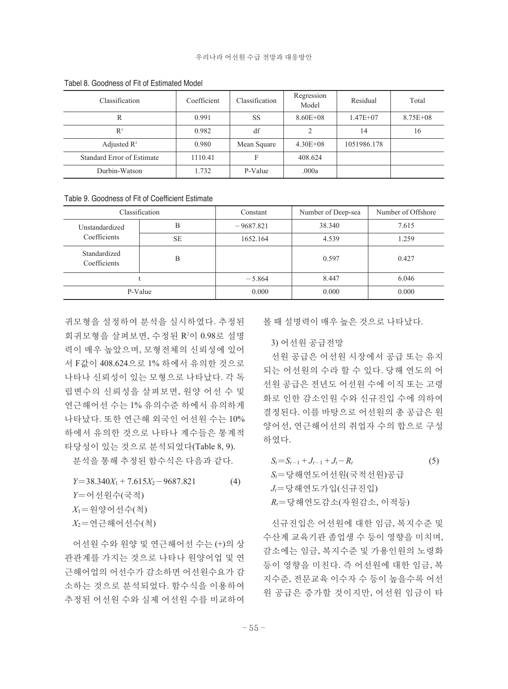| Classification             | Coefficient | <b>Classification</b> | Regression<br>Model | Residual     | Total        |
|----------------------------|-------------|-----------------------|---------------------|--------------|--------------|
| R                          | 0.991       | SS                    | $8.60E + 08$        | $1.47E + 07$ | $8.75E + 08$ |
| $R^2$                      | 0.982       | df                    | 2                   | 14           | 16           |
| Adjusted $\mathbb{R}^2$    | 0.980       | Mean Square           | $4.30E + 08$        | 1051986.178  |              |
| Standard Error of Estimate | 1110.41     | F                     | 408.624             |              |              |
| Durbin-Watson              | 1.732       | P-Value               | .000a               |              |              |

Tabel 8. Goodness of Fit of Estimated Model

Table 9. Goodness of Fit of Coefficient Estimate

|                              | Classification | Constant    | Number of Deep-sea | Number of Offshore |
|------------------------------|----------------|-------------|--------------------|--------------------|
| Unstandardized               | В              | $-9687.821$ | 38.340             | 7.615              |
| Coefficients                 | <b>SE</b>      | 1652.164    | 4.539              | 1.259              |
| Standardized<br>Coefficients | B              |             | 0.597              | 0.427              |
|                              |                | $-5.864$    | 8.447              | 6.046              |
|                              | P-Value        | 0.000       | 0.000              | 0.000              |

귀모형을 설정하여 분석을 실시하였다. 추정된 회귀모형을 살펴보면, 수정된 R²이 0.98로 설명 력이 매우 높았으며, 모형전체의 신뢰성에 있어 서 F값이 408.624으로 1% 하에서 유의한 것으로 나타나 신뢰성이 있는 모형으로 나타났다. 각 독 립변수의 신뢰성을 살펴보면, 원양 어선 수 및 연근해어선 수는 1% 유의수준 하에서 유의하게 나타났다. 또한 연근해 외국인 어선원 수는 10% 하에서 유의한 것으로 나타나 계수들은 통계적 타당성이 있는 것으로 분석되었다(Table 8, 9).

분석을 통해 추정된 함수식은 다음과 같다.

 $Y=38.340X_1 + 7.615X_2 - 9687.821$  (4) *Y*〓어선원수(국적) *X*1〓원양어선수(척) *X*2〓연근해어선수(척)

어선원 수와 원양 및 연근해어선 수는 (+)의 상 관관계를 가지는 것으로 나타나 원양어업 및 연 근해어업의 어선수가 감소하면 어선원수요가 감 소하는 것으로 분석되었다. 함수식을 이용하여 추정된 어선원 수와 실제 어선원 수를 비교하여 볼 때 설명력이 매우 높은 것으로 나타났다.

#### 3) 어선원 공급전망

선원 공급은 어선원 시장에서 공급 또는 유지 되는 어선원의 수라 할 수 있다. 당해 연도의 어 선원 공급은 전년도 어선원 수에 이직 또는 고령 화로 인한 감소인원 수와 신규진입 수에 의하여 결정된다. 이를 바탕으로 어선원의 총 공급은 원 양어선, 연근해어선의 취업자 수의 합으로 구성 하였다.

 $S_t = S_{t-1} + J_{t-1} + J_t - R_t$  (5) *St*〓당해연도어선원(국적선원)공급  $J_t$ =당해연도가입(신규진입) *Rt*〓당해연도감소(자원감소, 이적등)

신규진입은 어선원에 대한 임금, 복지수준 및 수산계 교육기관 졸업생 수 등이 영향을 미치며, 감소에는 임금, 복지수준 및 가용인원의 노령화 등이 영향을 미친다. 즉 어선원에 대한 임금, 복 지수준, 전문교육 이수자 수 등이 높을수록 어선 원 공급은 증가할 것이지만, 어선원 임금이 타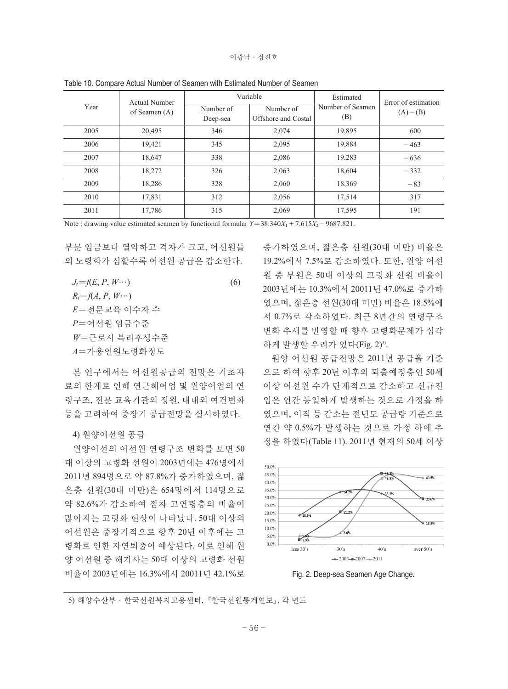| Year | Actual Number   |                       | Variable                         | Estimated               | Error of estimation |
|------|-----------------|-----------------------|----------------------------------|-------------------------|---------------------|
|      | of Seamen $(A)$ | Number of<br>Deep-sea | Number of<br>Offshore and Costal | Number of Seamen<br>(B) | $(A) - (B)$         |
| 2005 | 20,495          | 346                   | 2,074                            | 19,895                  | 600                 |
| 2006 | 19,421          | 345                   | 2,095                            | 19,884                  | $-463$              |
| 2007 | 18,647          | 338                   | 2,086                            | 19,283                  | $-636$              |
| 2008 | 18,272          | 326                   | 2,063                            | 18,604                  | $-332$              |
| 2009 | 18,286          | 328                   | 2,060                            | 18,369                  | $-83$               |
| 2010 | 17,831          | 312                   | 2,056                            | 17,514                  | 317                 |
| 2011 | 17,786          | 315                   | 2,069                            | 17,595                  | 191                 |

Table 10. Compare Actual Number of Seamen with Estimated Number of Seamen

Note : drawing value estimated seamen by functional formular  $Y=38.340\overline{X_1}+7.615\overline{X_2}-9687.821$ .

부문 임금보다 열악하고 격차가 크고, 어선원들 의 노령화가 심할수록 어선원 공급은 감소한다.

| $J_t = f(E, P, W \cdots)$ | (6) |
|---------------------------|-----|
| $R_t = f(A, P, W \cdots)$ |     |
| <i>E</i> =전문교육 이수자 수      |     |
| P=어서워 임금수주                |     |
| W=근로시 복리후생수준              |     |
| A=가용인워노령화정도               |     |
|                           |     |

본 연구에서는 어선원공급의 전망은 기초자 료의 한계로 인해 연근해어업 및 원양어업의 연 령구조, 전문 교육기관의 정원, 대내외 여건변화 등을 고려하여 중장기 공급전망을 실시하였다.

4) 원양어선원 공급

원양어선의 어선원 연령구조 변화를 보면 50 대 이상의 고령화 선원이 2003년에는 476명에서 2011년 894명으로 약 87.8%가 증가하였으며, 젊 은층 선원(30대 미만)은 654명에서 114명으로 약 82.6%가 감소하여 점차 고연령층의 비율이 많아지는 고령화 현상이 나타났다. 50대 이상의 어선원은 중장기적으로 향후 20년 이후에는 고 령화로 인한 자연퇴출이 예상된다. 이로 인해 원 양 어선원 중 해기사는 50대 이상의 고령화 선원 비율이 2003년에는 16.3%에서 20011년 42.1%로 증가하였으며, 젊은층 선원(30대 미만) 비율은 19.2%에서 7.5%로 감소하였다. 또한, 원양 어선 원 중 부원은 50대 이상의 고령화 선원 비율이 2003년에는 10.3%에서 20011년 47.0%로 증가하 였으며, 젊은층 선원(30대 미만) 비율은 18.5%에 서 0.7%로 감소하였다. 최근 8년간의 연령구조 변화 추세를 반영할 때 향후 고령화문제가 심각 하게 발생할 우려가 있다(Fig. 2)5).

원양 어선원 공급전망은 2011년 공급을 기준 으로 하여 향후 20년 이후의 퇴출예정층인 50세 이상 어선원 수가 단계적으로 감소하고 신규진 입은 연간 동일하게 발생하는 것으로 가정을 하 였으며, 이직 등 감소는 전년도 공급량 기준으로 연간 약 0.5%가 발생하는 것으로 가정 하에 추 정을 하였다(Table 11). 2011년 현재의 50세 이상



Fig. 2. Deep-sea Seamen Age Change.

<sup>5)</sup> 해양수산부·한국선원복지고용센터,『한국선원통계연보』, 각 년도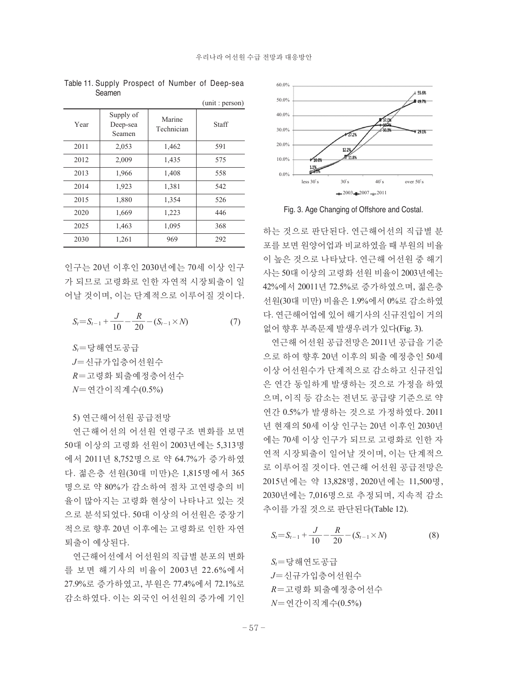$(m + m)$ 

|                                 |                      | $\mu$ ull $\mu$ . $\mu$ $\mu$ s $\sigma$ $\mu$ |
|---------------------------------|----------------------|------------------------------------------------|
| Supply of<br>Deep-sea<br>Seamen | Marine<br>Technician | Staff                                          |
| 2,053                           | 1,462                | 591                                            |
| 2,009                           | 1,435                | 575                                            |
| 1,966                           | 1,408                | 558                                            |
| 1,923                           | 1,381                | 542                                            |
| 1,880                           | 1,354                | 526                                            |
| 1,669                           | 1,223                | 446                                            |
| 1,463                           | 1,095                | 368                                            |
| 1,261                           | 969                  | 292                                            |
|                                 |                      |                                                |

Table 11. Supply Prospect of Number of Deep-sea Seamen

인구는 20년 이후인 2030년에는 70세 이상 인구 가 되므로 고령화로 인한 자연적 시장퇴출이 일 어날 것이며, 이는 단계적으로 이루어질 것이다.

$$
S_t = S_{t-1} + \frac{J}{10} - \frac{R}{20} - (S_{t-1} \times N)
$$
 (7)

 $S_t = 5$ 당해연도공급 *J*〓신규가입층어선원수 *R*〓고령화 퇴출예정층어선수 *N*〓연간이직계수(0.5%)

5) 연근해어선원 공급전망

연근해어선의 어선원 연령구조 변화를 보면 50대 이상의 고령화 선원이 2003년에는 5,313명 에서 2011년 8,752명으로 약 64.7%가 증가하였 다. 젊은층 선원(30대 미만)은 1,815명에서 365 명으로 약 80%가 감소하여 점차 고연령층의 비 율이 많아지는 고령화 현상이 나타나고 있는 것 으로 분석되었다. 50대 이상의 어선원은 중장기 적으로 향후 20년 이후에는 고령화로 인한 자연 퇴출이 예상된다.

연근해어선에서 어선원의 직급별 분포의 변화 를 보면 해기사의 비율이 2003년 22.6%에서 27.9%로 증가하였고, 부원은 77.4%에서 72.1%로 감소하였다. 이는 외국인 어선원의 증가에 기인



Fig. 3. Age Changing of Offshore and Costal.

하는 것으로 판단된다. 연근해어선의 직급별 분 포를 보면 원양어업과 비교하였을 때 부원의 비율 이 높은 것으로 나타났다. 연근해 어선원 중 해기 사는 50대 이상의 고령화 선원 비율이 2003년에는 42%에서 20011년 72.5%로 증가하였으며, 젊은층 선원(30대 미만) 비율은 1.9%에서 0%로 감소하였 다. 연근해어업에 있어 해기사의 신규진입이 거의 없어 향후 부족문제 발생우려가 있다(Fig. 3).

연근해 어선원 공급전망은 2011년 공급을 기준 으로 하여 향후 20년 이후의 퇴출 예정층인 50세 이상 어선원수가 단계적으로 감소하고 신규진입 은 연간 동일하게 발생하는 것으로 가정을 하였 으며, 이직 등 감소는 전년도 공급량 기준으로 약 연간 0.5%가 발생하는 것으로 가정하였다. 2011 년 현재의 50세 이상 인구는 20년 이후인 2030년 에는 70세 이상 인구가 되므로 고령화로 인한 자 연적 시장퇴출이 일어날 것이며, 이는 단계적으 로 이루어질 것이다. 연근해 어선원 공급전망은 2015년에는 약 13,828명, 2020년에는 11,500명, 2030년에는 7,016명으로 추정되며, 지속적 감소 추이를 가질 것으로 판단된다(Table 12).

$$
S_t = S_{t-1} + \frac{J}{10} - \frac{R}{20} - (S_{t-1} \times N)
$$
 (8)

*St*〓당해연도공급 *J*〓신규가입층어선원수 *R*〓고령화 퇴출예정층어선수 *N*〓연간이직계수(0.5%)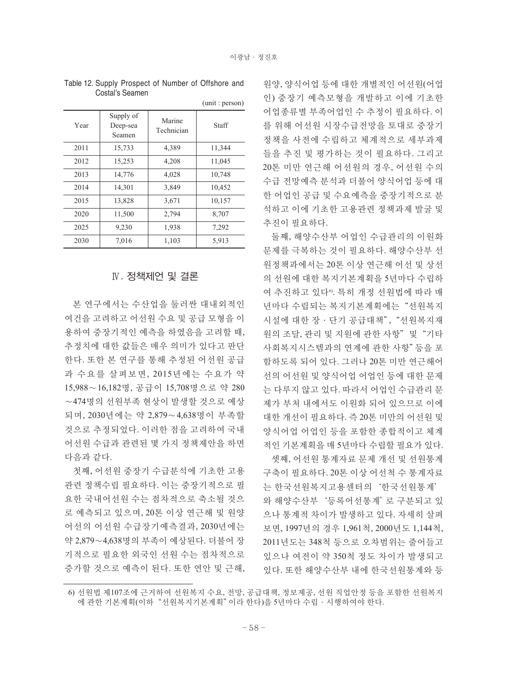|      |                                 |                      | (unit: person) |
|------|---------------------------------|----------------------|----------------|
| Year | Supply of<br>Deep-sea<br>Seamen | Marine<br>Technician | Staff          |
| 2011 | 15,733                          | 4,389                | 11,344         |
| 2012 | 15,253                          | 4,208                | 11,045         |
| 2013 | 14,776                          | 4,028                | 10,748         |
| 2014 | 14,301                          | 3,849                | 10,452         |
| 2015 | 13,828                          | 3,671                | 10,157         |
| 2020 | 11,500                          | 2,794                | 8,707          |
| 2025 | 9,230                           | 1,938                | 7,292          |
| 2030 | 7,016                           | 1,103                | 5,913          |

Table 12. Supply Prospect of Number of Offshore and Costal's Seamen

### Ⅳ. 정책제언 및 결론

본 연구에서는 수산업을 둘러싼 대내외적인 여건을 고려하고 어선원 수요 및 공급 모형을 이 용하여 중장기적인 예측을 하였음을 고려할 때, 추정치에 대한 값들은 매우 의미가 있다고 판단 한다. 또한 본 연구를 통해 추정된 어선원 공급 과 수요를 살펴보면, 2015년에는 수요가 약 15,988∼16,182명, 공급이 15,708명으로 약 280 ∼474명의 선원부족 현상이 발생할 것으로 예상 되며, 2030년에는 약 2,879∼4,638명이 부족할 것으로 추정되었다. 이러한 점을 고려하여 국내 어선원 수급과 관련된 몇 가지 정책제안을 하면 다음과 같다.

첫째, 어선원 중장기 수급분석에 기초한 고용 관련 정책수립 필요하다. 이는 중장기적으로 필 요한 국내어선원 수는 점차적으로 축소될 것으 로 예측되고 있으며, 20톤 이상 연근해 및 원양 어선의 어선원 수급장기예측결과, 2030년에는 약 2,879∼4,638명의 부족이 예상된다. 더불어 장 기적으로 필요한 외국인 선원 수는 점차적으로 증가할 것으로 예측이 된다. 또한 연안 및 근해, 원양, 양식어업 등에 대한 개별적인 어선원(어업 인) 중장기 예측모형을 개발하고 이에 기초한 어업종류별 부족어업인 수 추정이 필요하다. 이 를 위해 어선원 시장수급전망을 토대로 중장기 정책을 사전에 수립하고 체계적으로 세부과제 들을 추진 및 평가하는 것이 필요하다. 그리고 20톤 미만 연근해 어선원의 경우, 어선원 수의 수급 전망예측 분석과 더불어 양식어업 등에 대 한 어업인 공급 및 수요예측을 중장기적으로 분 석하고 이에 기초한 고용관련 정책과제 발굴 및 추진이 필요하다.

둘째, 해양수산부 어업인 수급관리의 이원화 문제를 극복하는 것이 필요하다. 해양수산부 선 원정책과에서는 20톤 이상 연근해 어선 및 상선 의 선원에 대한 복지기본계획을 5년마다 수립하 여 추진하고 있다®. 특히 개정 선원법에 따라 매 년마다 수립되는 복지기본계획에는"선원복지 시설에 대한 장·단기 공급대책","선원복지재 원의 조달, 관리 및 지원에 관한 사항"및"기타 사회복지시스템과의 연계에 관한 사항"등을 포 함하도록 되어 있다. 그러나 20톤 미만 연근해어 선의 어선원 및 양식어업 어업인 등에 대한 문제 는 다루지 않고 있다. 따라서 어업인 수급관리 문 제가 부처 내에서도 이원화 되어 있으므로 이에 대한 개선이 필요하다. 즉 20톤 미만의 어선원 및 양식어업 어업인 등을 포함한 종합적이고 체계 적인 기본계획을 매 5년마다 수립할 필요가 있다. 셋째, 어선원 통계자료 문제 개선 및 선원통계

구축이 필요하다. 20톤 이상 어선척 수 통계자료 는 한국선원복지고용센터의'한국선원통계' 와 해양수산부'등록어선통계'로 구분되고 있 으나 통계적 차이가 발생하고 있다. 자세히 살펴 보면, 1997년의 경우 1,961척, 2000년도 1,144척, 2011년도는 348척 등으로 오차범위는 줄어들고 있으나 여전이 약 350척 정도 차이가 발생되고 있다. 또한 해양수산부 내에 한국선원통계와 등

<sup>6)</sup> 선원법 제107조에 근거하여 선원복지 수요, 전망, 공급대책, 정보제공, 선원 직업안정 등을 포함한 선원복지 에 관한 기본계획(이하"선원복지기본계획"이라 한다)을 5년마다 수립·시행하여야 한다.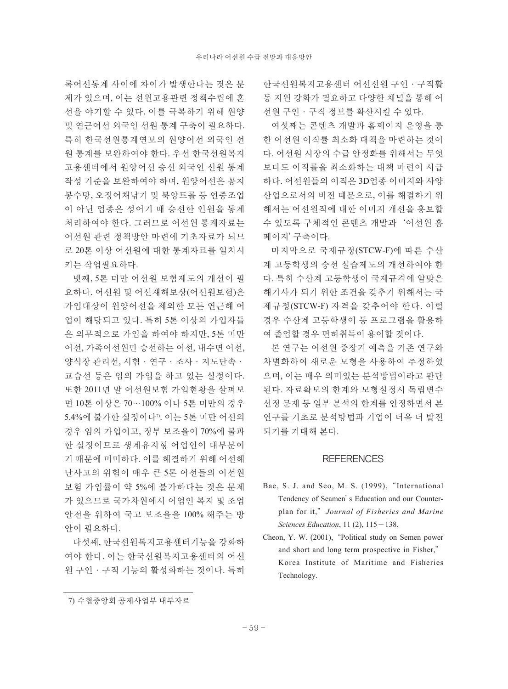록어선통계 사이에 차이가 발생한다는 것은 문 제가 있으며, 이는 선원고용관련 정책수립에 혼 선을 야기할 수 있다. 이를 극복하기 위해 원양 및 연근어선 외국인 선원 통계 구축이 필요하다. 특히 한국선원통계연보의 원양어선 외국인 선 원 통계를 보완하여야 한다. 우선 한국선원복지 고용센터에서 원양어선 승선 외국인 선원 통계 작성 기준을 보완하여야 하며, 원양어선은 꽁치 봉수망, 오징어채낚기 및 북양트롤 등 연중조업 이 아닌 업종은 성어기 때 승선한 인원을 통계 처리하여야 한다. 그러므로 어선원 통계자료는 어선원 관련 정책방안 마련에 기초자료가 되므 로 20톤 이상 어선원에 대한 통계자료를 일치시 키는 작업필요하다.

넷째, 5톤 미만 어선원 보험제도의 개선이 필 요하다. 어선원 및 어선재해보상(어선원보험)은 가입대상이 원양어선을 제외한 모든 연근해 어 업이 해당되고 있다. 특히 5톤 이상의 가입자들 은 의무적으로 가입을 하여야 하지만, 5톤 미만 어선, 가족어선원만 승선하는 어선, 내수면 어선, 양식장 관리선, 시험·연구·조사·지도단속· 교습선 등은 임의 가입을 하고 있는 실정이다. 또한 2011년 말 어선원보험 가입현황을 살펴보 면 10톤 이상은 70∼100% 이나 5톤 미만의 경우 5.4%에 불가한 실정이다". 이는 5톤 미만 어선의 경우 임의 가입이고, 정부 보조율이 70%에 불과 한 실정이므로 생계유지형 어업인이 대부분이 기 때문에 미미하다. 이를 해결하기 위해 어선해 난사고의 위험이 매우 큰 5톤 어선들의 어선원 보험 가입률이 약 5%에 불가하다는 것은 문제 가 있으므로 국가차원에서 어업인 복지 및 조업 안전을 위하여 국고 보조율을 100% 해주는 방 안이 필요하다.

다섯째, 한국선원복지고용센터기능을 강화하 여야 한다. 이는 한국선원복지고용센터의 어선 원 구인·구직 기능의 활성화하는 것이다. 특히 한국선원복지고용센터 어선선원 구인·구직활 동 지원 강화가 필요하고 다양한 채널을 통해 어 선원 구인·구직 정보를 확산시킬 수 있다.

여섯째는 콘텐츠 개발과 홈페이지 운영을 통 한 어선원 이직률 최소화 대책을 마련하는 것이 다. 어선원 시장의 수급 안정화를 위해서는 무엇 보다도 이직률을 최소화하는 대책 마련이 시급 하다. 어선원들의 이직은 3D업종 이미지와 사양 산업으로서의 비전 때문으로, 이를 해결하기 위 해서는 어선원직에 대한 이미지 개선을 홍보할 수 있도록 구체적인 콘텐츠 개발과'어선원 홈 페이지'구축이다.

마지막으로 국제규정(STCW-F)에 따른 수산 계 고등학생의 승선 실습제도의 개선하여야 한 다. 특히 수산계 고등학생이 국제규격에 알맞은 해기사가 되기 위한 조건을 갖추기 위해서는 국 제규정(STCW-F) 자격을 갖추어야 한다. 이럴 경우 수산계 고등학생이 동 프로그램을 활용하 여 졸업할 경우 면허취득이 용이할 것이다.

본 연구는 어선원 중장기 예측을 기존 연구와 차별화하여 새로운 모형을 사용하여 추정하였 으며, 이는 매우 의미있는 분석방법이라고 판단 된다. 자료확보의 한계와 모형설정시 독립변수 선정 문제 등 일부 분석의 한계를 인정하면서 본 연구를 기초로 분석방법과 기업이 더욱 더 발전 되기를 기대해 본다.

#### **REFERENCES**

- Bae, S. J. and Seo, M. S. (1999), "International Tendency of Seamen's Education and our Counterplan for it,"*Journal of Fisheries and Marine Sciences Education*, 11 (2), 115-138.
- Cheon, Y. W. (2001), "Political study on Semen power and short and long term prospective in Fisher," Korea Institute of Maritime and Fisheries Technology.

<sup>7)</sup> 수협중앙회 공제사업부 내부자료